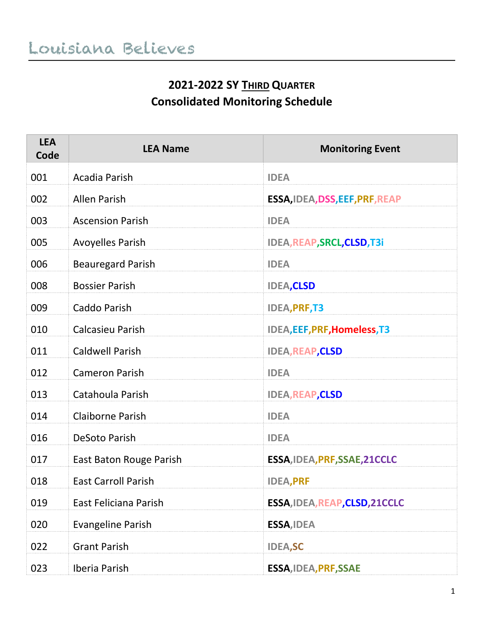#### **2021-2022 SY THIRD QUARTER Consolidated Monitoring Schedule**

| <b>LEA</b><br>Code | <b>LEA Name</b>            | <b>Monitoring Event</b>             |
|--------------------|----------------------------|-------------------------------------|
| 001                | Acadia Parish              | <b>IDEA</b>                         |
| 002                | <b>Allen Parish</b>        | ESSA, IDEA, DSS, EEF, PRF, REAP     |
| 003                | <b>Ascension Parish</b>    | <b>IDEA</b>                         |
| 005                | <b>Avoyelles Parish</b>    | IDEA, REAP, SRCL, CLSD, T3i         |
| 006                | <b>Beauregard Parish</b>   | <b>IDEA</b>                         |
| 008                | <b>Bossier Parish</b>      | <b>IDEA,CLSD</b>                    |
| 009                | Caddo Parish               | <b>IDEA, PRF, T3</b>                |
| 010                | <b>Calcasieu Parish</b>    | <b>IDEA, EEF, PRF, Homeless, T3</b> |
| 011                | <b>Caldwell Parish</b>     | <b>IDEA, REAP, CLSD</b>             |
| 012                | <b>Cameron Parish</b>      | <b>IDEA</b>                         |
| 013                | Catahoula Parish           | <b>IDEA, REAP, CLSD</b>             |
| 014                | <b>Claiborne Parish</b>    | <b>IDEA</b>                         |
| 016                | DeSoto Parish              | <b>IDEA</b>                         |
| 017                | East Baton Rouge Parish    | ESSA, IDEA, PRF, SSAE, 21CCLC       |
| 018                | <b>East Carroll Parish</b> | <b>IDEA, PRF</b>                    |
| 019                | East Feliciana Parish      | ESSA, IDEA, REAP, CLSD, 21CCLC      |
| 020                | <b>Evangeline Parish</b>   | ESSA, IDEA                          |
| 022                | <b>Grant Parish</b>        | <b>IDEA,SC</b>                      |
| 023                | Iberia Parish              | ESSA, IDEA, PRF, SSAE               |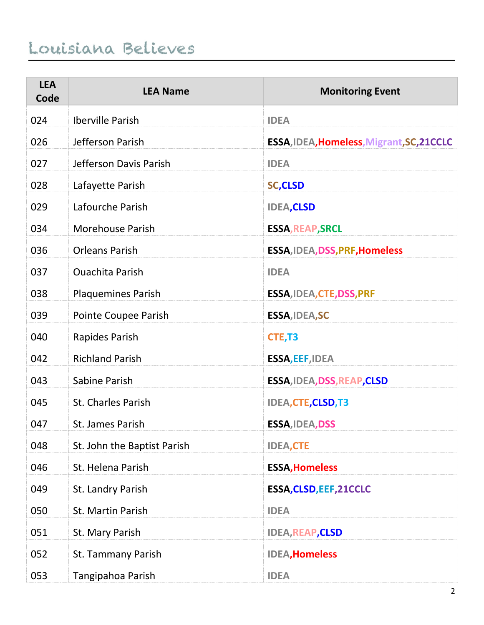| <b>LEA</b><br>Code | <b>LEA Name</b>             | <b>Monitoring Event</b>                   |
|--------------------|-----------------------------|-------------------------------------------|
| 024                | <b>Iberville Parish</b>     | <b>IDEA</b>                               |
| 026                | Jefferson Parish            | ESSA, IDEA, Homeless, Migrant, SC, 21CCLC |
| 027                | Jefferson Davis Parish      | <b>IDEA</b>                               |
| 028                | Lafayette Parish            | <b>SC,CLSD</b>                            |
| 029                | Lafourche Parish            | <b>IDEA,CLSD</b>                          |
| 034                | <b>Morehouse Parish</b>     | <b>ESSA, REAP, SRCL</b>                   |
| 036                | <b>Orleans Parish</b>       | ESSA, IDEA, DSS, PRF, Homeless            |
| 037                | <b>Ouachita Parish</b>      | <b>IDEA</b>                               |
| 038                | <b>Plaquemines Parish</b>   | ESSA, IDEA, CTE, DSS, PRF                 |
| 039                | Pointe Coupee Parish        | ESSA, IDEA, SC                            |
| 040                | Rapides Parish              | CTE, T3                                   |
| 042                | <b>Richland Parish</b>      | ESSA, EEF, IDEA                           |
| 043                | Sabine Parish               | ESSA, IDEA, DSS, REAP, CLSD               |
| 045                | <b>St. Charles Parish</b>   | <b>IDEA, CTE, CLSD, T3</b>                |
| 047                | <b>St. James Parish</b>     | <b>ESSA, IDEA, DSS</b>                    |
| 048                | St. John the Baptist Parish | <b>IDEA,CTE</b>                           |
| 046                | St. Helena Parish           | <b>ESSA, Homeless</b>                     |
| 049                | St. Landry Parish           | ESSA, CLSD, EEF, 21CCLC                   |
| 050                | St. Martin Parish           | <b>IDEA</b>                               |
| 051                | St. Mary Parish             | <b>IDEA, REAP, CLSD</b>                   |
| 052                | St. Tammany Parish          | <b>IDEA, Homeless</b>                     |
| 053                | Tangipahoa Parish           | <b>IDEA</b>                               |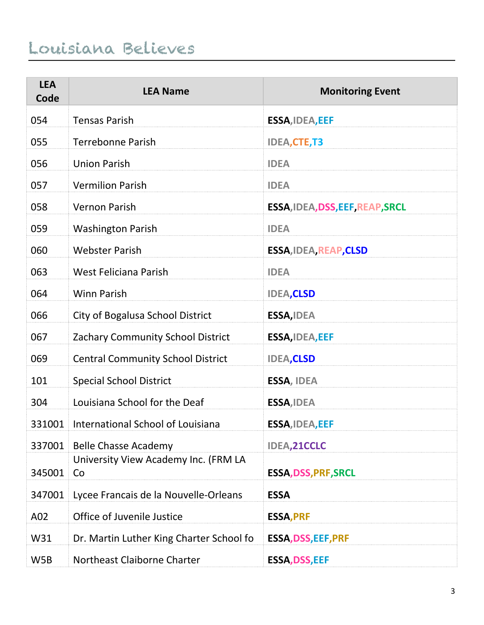| <b>LEA</b><br>Code | <b>LEA Name</b>                            | <b>Monitoring Event</b>          |
|--------------------|--------------------------------------------|----------------------------------|
| 054                | <b>Tensas Parish</b>                       | <b>ESSA, IDEA, EEF</b>           |
| 055                | <b>Terrebonne Parish</b>                   | <b>IDEA,CTE,T3</b>               |
| 056                | <b>Union Parish</b>                        | <b>IDEA</b>                      |
| 057                | <b>Vermilion Parish</b>                    | <b>IDEA</b>                      |
| 058                | <b>Vernon Parish</b>                       | ESSA, IDEA, DSS, EEF, REAP, SRCL |
| 059                | <b>Washington Parish</b>                   | <b>IDEA</b>                      |
| 060                | <b>Webster Parish</b>                      | <b>ESSA, IDEA, REAP, CLSD</b>    |
| 063                | West Feliciana Parish                      | <b>IDEA</b>                      |
| 064                | <b>Winn Parish</b>                         | <b>IDEA,CLSD</b>                 |
| 066                | City of Bogalusa School District           | <b>ESSA, IDEA</b>                |
| 067                | Zachary Community School District          | <b>ESSA, IDEA, EEF</b>           |
| 069                | <b>Central Community School District</b>   | <b>IDEA,CLSD</b>                 |
| 101                | <b>Special School District</b>             | <b>ESSA, IDEA</b>                |
| 304                | Louisiana School for the Deaf              | <b>ESSA, IDEA</b>                |
| 331001             | International School of Louisiana          | <b>ESSA, IDEA, EEF</b>           |
| 337001             | <b>Belle Chasse Academy</b>                | <b>IDEA,21CCLC</b>               |
| 345001             | University View Academy Inc. (FRM LA<br>Co | <b>ESSA, DSS, PRF, SRCL</b>      |
| 347001             | Lycee Francais de la Nouvelle-Orleans      | <b>ESSA</b>                      |
| A02                | Office of Juvenile Justice                 | <b>ESSA, PRF</b>                 |
| W31                | Dr. Martin Luther King Charter School fo   | <b>ESSA, DSS, EEF, PRF</b>       |
| W5B                | Northeast Claiborne Charter                | <b>ESSA, DSS, EEF</b>            |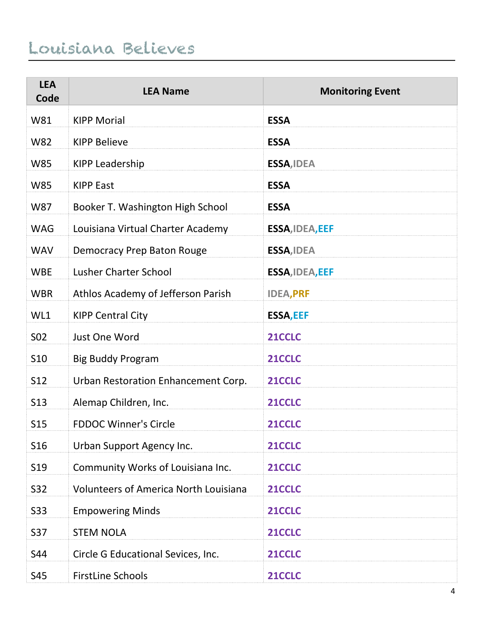| <b>LEA</b><br>Code | <b>LEA Name</b>                              | <b>Monitoring Event</b> |
|--------------------|----------------------------------------------|-------------------------|
| W81                | <b>KIPP Morial</b>                           | <b>ESSA</b>             |
| <b>W82</b>         | <b>KIPP Believe</b>                          | <b>ESSA</b>             |
| <b>W85</b>         | <b>KIPP Leadership</b>                       | ESSA, IDEA              |
| <b>W85</b>         | <b>KIPP East</b>                             | <b>ESSA</b>             |
| <b>W87</b>         | Booker T. Washington High School             | <b>ESSA</b>             |
| <b>WAG</b>         | Louisiana Virtual Charter Academy            | ESSA, IDEA, EEF         |
| <b>WAV</b>         | <b>Democracy Prep Baton Rouge</b>            | ESSA, IDEA              |
| <b>WBE</b>         | <b>Lusher Charter School</b>                 | <b>ESSA, IDEA, EEF</b>  |
| <b>WBR</b>         | Athlos Academy of Jefferson Parish           | <b>IDEA, PRF</b>        |
| WL1                | <b>KIPP Central City</b>                     | <b>ESSA, EEF</b>        |
| S <sub>02</sub>    | Just One Word                                | 21CCLC                  |
| S10                | <b>Big Buddy Program</b>                     | 21CCLC                  |
| S12                | Urban Restoration Enhancement Corp.          | 21CCLC                  |
| S <sub>13</sub>    | Alemap Children, Inc.                        | 21CCLC                  |
| <b>S15</b>         | <b>FDDOC Winner's Circle</b>                 | 21CCLC                  |
| S16                | Urban Support Agency Inc.                    | 21CCLC                  |
| S <sub>19</sub>    | Community Works of Louisiana Inc.            | 21CCLC                  |
| S32                | <b>Volunteers of America North Louisiana</b> | 21CCLC                  |
| S33                | <b>Empowering Minds</b>                      | 21CCLC                  |
| S37                | <b>STEM NOLA</b>                             | 21CCLC                  |
| S44                | Circle G Educational Sevices, Inc.           | 21CCLC                  |
| S45                | <b>FirstLine Schools</b>                     | 21CCLC                  |